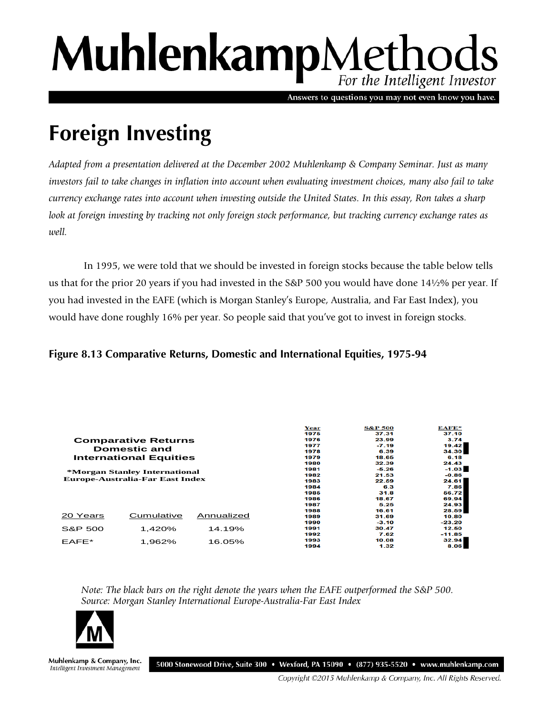## MuhlenkampMethods For the Intelligent Investor

Answers to questions you may not even know you have.

## **Foreign Investing**

*Adapted from a presentation delivered at the December 2002 Muhlenkamp & Company Seminar. Just as many investors fail to take changes in inflation into account when evaluating investment choices, many also fail to take currency exchange rates into account when investing outside the United States. In this essay, Ron takes a sharp look at foreign investing by tracking not only foreign stock performance, but tracking currency exchange rates as well.* 

In 1995, we were told that we should be invested in foreign stocks because the table below tells us that for the prior 20 years if you had invested in the S&P 500 you would have done 14½% per year. If you had invested in the EAFE (which is Morgan Stanley's Europe, Australia, and Far East Index), you would have done roughly 16% per year. So people said that you've got to invest in foreign stocks.

## **Figure 8.13 Comparative Returns, Domestic and International Equities, 1975-94**

|                                                                                                                                                        |            |            | Year | <b>S&amp;P 500</b> | EAFE*    |
|--------------------------------------------------------------------------------------------------------------------------------------------------------|------------|------------|------|--------------------|----------|
|                                                                                                                                                        |            |            | 1975 | 37.31              | 37.10    |
| <b>Comparative Returns</b><br><b>Domestic and</b><br><b>International Equities</b><br>*Morgan Stanley International<br>Europe-Australia-Far East Index |            |            | 1976 | 23.99              | 3.74     |
|                                                                                                                                                        |            |            | 1977 | $-7.19$            | 19.42    |
|                                                                                                                                                        |            |            | 1978 | 6.39               | 34.30    |
|                                                                                                                                                        |            |            | 1979 | 18.65              | 6.18     |
|                                                                                                                                                        |            |            | 1980 | 32.39              | 24.43    |
|                                                                                                                                                        |            |            | 1981 | $-5.26$            | $-1.03$  |
|                                                                                                                                                        |            |            | 1982 | 21.53              | $-0.86$  |
|                                                                                                                                                        |            |            | 1983 | 22.59              | 24.61    |
|                                                                                                                                                        |            |            | 1984 | 6.3                | 7.86     |
|                                                                                                                                                        |            |            | 1985 | 31.8               | 56.72    |
|                                                                                                                                                        |            |            | 1986 | 18.67              | 69.94    |
|                                                                                                                                                        |            |            | 1987 | 5.25               | 24.93    |
|                                                                                                                                                        |            |            | 1988 | 16.61              | 28.59    |
| 20 Years                                                                                                                                               | Cumulative | Annualized | 1989 | 31.69              | 10.80    |
|                                                                                                                                                        |            |            | 1990 | $-3.10$            | $-23.20$ |
| S&P 500                                                                                                                                                | 1.420%     | 14.19%     | 1991 | 30.47              | 12.50    |
|                                                                                                                                                        |            |            | 1992 | 7.62               | $-11.85$ |
| EAFE*                                                                                                                                                  | 1.962%     | 16.05%     | 1993 | 10.08              | 32.94    |
|                                                                                                                                                        |            |            | 1994 | 1.32               | 8.06     |

*Note: The black bars on the right denote the years when the EAFE outperformed the S&P 500. Source: Morgan Stanley International Europe-Australia-Far East Index*



Muhlenkamp & Company, Inc. Intelligent Investment Management

5000 Stonewood Drive, Suite 300 • Wexford, PA 15090 • (877) 935-5520 • www.muhlenkamp.com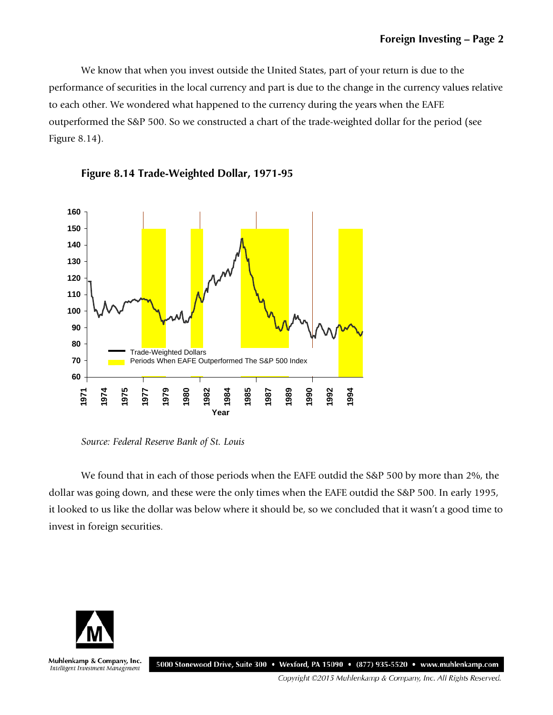We know that when you invest outside the United States, part of your return is due to the performance of securities in the local currency and part is due to the change in the currency values relative to each other. We wondered what happened to the currency during the years when the EAFE outperformed the S&P 500. So we constructed a chart of the trade-weighted dollar for the period (see Figure 8.14).



**Figure 8.14 Trade-Weighted Dollar, 1971-95**

We found that in each of those periods when the EAFE outdid the S&P 500 by more than 2%, the dollar was going down, and these were the only times when the EAFE outdid the S&P 500. In early 1995, it looked to us like the dollar was below where it should be, so we concluded that it wasn't a good time to invest in foreign securities.



Muhlenkamp & Company, Inc. Intelligent Investment Management

5000 Stonewood Drive, Suite 300 • Wexford, PA 15090 • (877) 935-5520 • www.muhlenkamp.com

*Source: Federal Reserve Bank of St. Louis*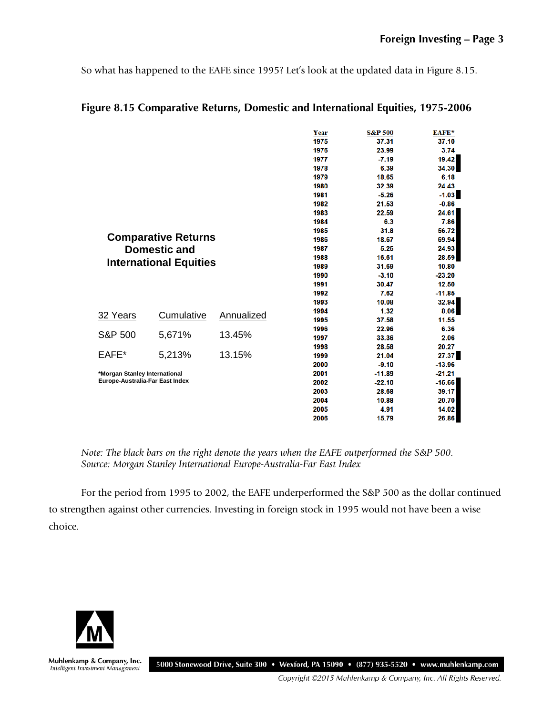So what has happened to the EAFE since 1995? Let's look at the updated data in Figure 8.15.

|                                 |            | Year     | <b>S&amp;P 500</b> | EAFE*    |
|---------------------------------|------------|----------|--------------------|----------|
|                                 |            | 1975     | 37.31              | 37.10    |
|                                 |            | 1976     | 23.99              | 3.74     |
|                                 |            | 1977     | $-7.19$            | 19.42    |
|                                 |            | 1978     | 6.39               | 34.30    |
|                                 |            | 1979     | 18.65              | 6.18     |
|                                 |            | 1980     | 32.39              | 24.43    |
|                                 |            | 1981     | $-5.26$            | $-1.03$  |
|                                 |            | 1982     | 21.53              | $-0.86$  |
|                                 |            | 1983     | 22.59              | 24.61    |
|                                 |            | 1984     | 6.3                | 7.86     |
|                                 | 1985       | 31.8     | 56.72              |          |
| <b>Comparative Returns</b>      | 1986       | 18.67    | 69.94              |          |
| <b>Domestic and</b>             | 1987       | 5.25     | 24.93              |          |
|                                 | 1988       | 16.61    | 28.59              |          |
| <b>International Equities</b>   | 1989       | 31.69    | 10.80              |          |
|                                 | 1990       | $-3.10$  | $-23.20$           |          |
|                                 |            | 1991     | 30.47              | 12.50    |
|                                 |            | 1992     | 7.62               | $-11.85$ |
|                                 |            | 1993     | 10.08              | 32.94    |
| <b>Cumulative</b><br>32 Years   | Annualized | 1994     | 1.32               | 8.06     |
|                                 |            | 1995     | 37.58              | 11.55    |
|                                 |            | 1996     | 22.96              | 6.36     |
| S&P 500<br>5,671%               | 13.45%     | 1997     | 33.36              | 2.06     |
|                                 |            | 1998     | 28.58              | 20.27    |
| 5,213%<br>EAFE*                 | 13.15%     | 1999     | 21.04              | 27.37    |
|                                 |            | 2000     | $-9.10$            | $-13.96$ |
| *Morgan Stanley International   |            | 2001     | $-11.89$           | $-21.21$ |
| Europe-Australia-Far East Index | 2002       | $-22.10$ | $-15.66$           |          |
|                                 |            | 2003     | 28.68              | 39.17    |
|                                 |            | 2004     | 10.88              | 20.70    |
|                                 |            | 2005     | 4.91               | 14.02    |
|                                 |            | 2006     | 15.79              | 26.86    |

## **Figure 8.15 Comparative Returns, Domestic and International Equities, 1975-2006**

*Note: The black bars on the right denote the years when the EAFE outperformed the S&P 500. Source: Morgan Stanley International Europe-Australia-Far East Index*

For the period from 1995 to 2002, the EAFE underperformed the S&P 500 as the dollar continued to strengthen against other currencies. Investing in foreign stock in 1995 would not have been a wise choice.



Muhlenkamp & Company, Inc. Intelligent Investment Management

5000 Stonewood Drive, Suite 300 • Wexford, PA 15090 • (877) 935-5520 • www.muhlenkamp.com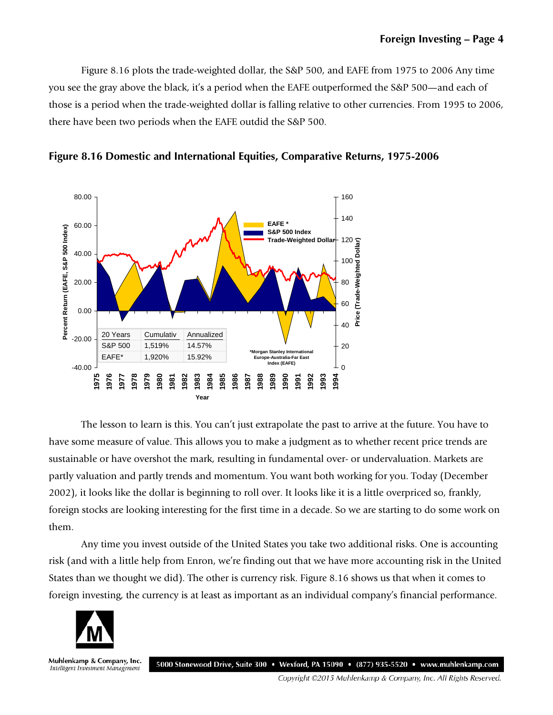Figure 8.16 plots the trade-weighted dollar, the S&P 500, and EAFE from 1975 to 2006 Any time you see the gray above the black, it's a period when the EAFE outperformed the S&P 500—and each of those is a period when the trade-weighted dollar is falling relative to other currencies. From 1995 to 2006, there have been two periods when the EAFE outdid the S&P 500.





The lesson to learn is this. You can't just extrapolate the past to arrive at the future. You have to have some measure of value. This allows you to make a judgment as to whether recent price trends are sustainable or have overshot the mark, resulting in fundamental over- or undervaluation. Markets are partly valuation and partly trends and momentum. You want both working for you. Today (December 2002), it looks like the dollar is beginning to roll over. It looks like it is a little overpriced so, frankly, foreign stocks are looking interesting for the first time in a decade. So we are starting to do some work on them.

Any time you invest outside of the United States you take two additional risks. One is accounting risk (and with a little help from Enron, we're finding out that we have more accounting risk in the United States than we thought we did). The other is currency risk. Figure 8.16 shows us that when it comes to foreign investing, the currency is at least as important as an individual company's financial performance.



Muhlenkamp & Company, Inc. 5000 Stonewood Drive, Suite 300 • Wexford, PA 15090 • (877) 935-5520 • www.muhlenkamp.com Intelligent Investment Management